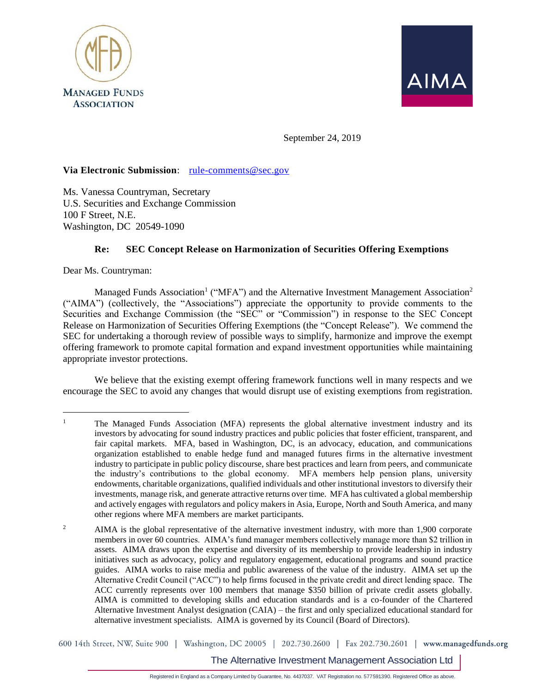



September 24, 2019

### **Via Electronic Submission**: [rule-comments@sec.gov](mailto:rule-comments@sec.gov)

Ms. Vanessa Countryman, Secretary U.S. Securities and Exchange Commission 100 F Street, N.E. Washington, DC 20549-1090

### **Re: SEC Concept Release on Harmonization of Securities Offering Exemptions**

Dear Ms. Countryman:

 $\overline{a}$ 

Managed Funds Association<sup>1</sup> ("MFA") and the Alternative Investment Management Association<sup>2</sup> ("AIMA") (collectively, the "Associations") appreciate the opportunity to provide comments to the Securities and Exchange Commission (the "SEC" or "Commission") in response to the SEC Concept Release on Harmonization of Securities Offering Exemptions (the "Concept Release"). We commend the SEC for undertaking a thorough review of possible ways to simplify, harmonize and improve the exempt offering framework to promote capital formation and expand investment opportunities while maintaining appropriate investor protections.

We believe that the existing exempt offering framework functions well in many respects and we encourage the SEC to avoid any changes that would disrupt use of existing exemptions from registration.

600 14th Street, NW, Suite 900 | Washington, DC 20005 | 202.730.2600 | Fax 202.730.2601 | www.managedfunds.org

The Alternative Investment Management Association Ltd

<sup>&</sup>lt;sup>1</sup> The Managed Funds Association (MFA) represents the global alternative investment industry and its investors by advocating for sound industry practices and public policies that foster efficient, transparent, and fair capital markets. MFA, based in Washington, DC, is an advocacy, education, and communications organization established to enable hedge fund and managed futures firms in the alternative investment industry to participate in public policy discourse, share best practices and learn from peers, and communicate the industry's contributions to the global economy. MFA members help pension plans, university endowments, charitable organizations, qualified individuals and other institutional investors to diversify their investments, manage risk, and generate attractive returns over time. MFA has cultivated a global membership and actively engages with regulators and policy makers in Asia, Europe, North and South America, and many other regions where MFA members are market participants.

<sup>&</sup>lt;sup>2</sup> AIMA is the global representative of the alternative investment industry, with more than 1,900 corporate members in over 60 countries. AIMA's fund manager members collectively manage more than \$2 trillion in assets. AIMA draws upon the expertise and diversity of its membership to provide leadership in industry initiatives such as advocacy, policy and regulatory engagement, educational programs and sound practice guides. AIMA works to raise media and public awareness of the value of the industry. AIMA set up the Alternative Credit Council ("ACC") to help firms focused in the private credit and direct lending space. The ACC currently represents over 100 members that manage \$350 billion of private credit assets globally. AIMA is committed to developing skills and education standards and is a co-founder of the Chartered Alternative Investment Analyst designation (CAIA) – the first and only specialized educational standard for alternative investment specialists. AIMA is governed by its Council (Board of Directors).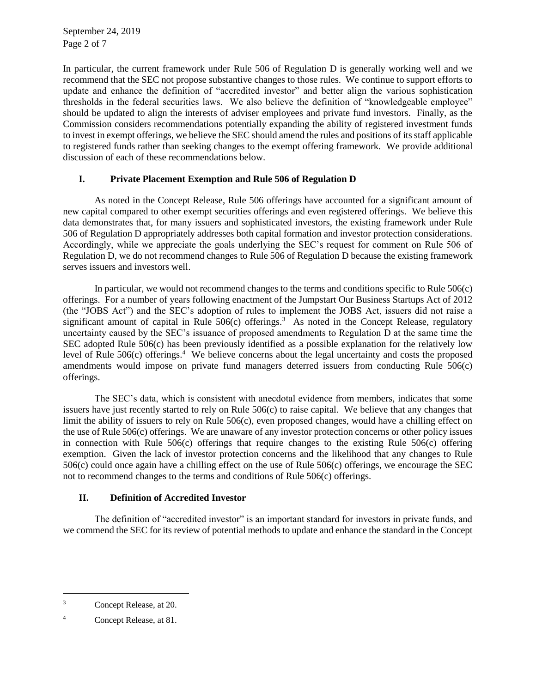September 24, 2019 Page 2 of 7

In particular, the current framework under Rule 506 of Regulation D is generally working well and we recommend that the SEC not propose substantive changes to those rules. We continue to support efforts to update and enhance the definition of "accredited investor" and better align the various sophistication thresholds in the federal securities laws. We also believe the definition of "knowledgeable employee" should be updated to align the interests of adviser employees and private fund investors. Finally, as the Commission considers recommendations potentially expanding the ability of registered investment funds to invest in exempt offerings, we believe the SEC should amend the rules and positions of its staff applicable to registered funds rather than seeking changes to the exempt offering framework. We provide additional discussion of each of these recommendations below.

### **I. Private Placement Exemption and Rule 506 of Regulation D**

As noted in the Concept Release, Rule 506 offerings have accounted for a significant amount of new capital compared to other exempt securities offerings and even registered offerings. We believe this data demonstrates that, for many issuers and sophisticated investors, the existing framework under Rule 506 of Regulation D appropriately addresses both capital formation and investor protection considerations. Accordingly, while we appreciate the goals underlying the SEC's request for comment on Rule 506 of Regulation D, we do not recommend changes to Rule 506 of Regulation D because the existing framework serves issuers and investors well.

In particular, we would not recommend changes to the terms and conditions specific to Rule 506(c) offerings. For a number of years following enactment of the Jumpstart Our Business Startups Act of 2012 (the "JOBS Act") and the SEC's adoption of rules to implement the JOBS Act, issuers did not raise a significant amount of capital in Rule  $506(c)$  offerings.<sup>3</sup> As noted in the Concept Release, regulatory uncertainty caused by the SEC's issuance of proposed amendments to Regulation D at the same time the SEC adopted Rule 506(c) has been previously identified as a possible explanation for the relatively low level of Rule 506(c) offerings.<sup>4</sup> We believe concerns about the legal uncertainty and costs the proposed amendments would impose on private fund managers deterred issuers from conducting Rule 506(c) offerings.

The SEC's data, which is consistent with anecdotal evidence from members, indicates that some issuers have just recently started to rely on Rule 506(c) to raise capital. We believe that any changes that limit the ability of issuers to rely on Rule 506(c), even proposed changes, would have a chilling effect on the use of Rule 506(c) offerings. We are unaware of any investor protection concerns or other policy issues in connection with Rule 506(c) offerings that require changes to the existing Rule 506(c) offering exemption. Given the lack of investor protection concerns and the likelihood that any changes to Rule 506(c) could once again have a chilling effect on the use of Rule 506(c) offerings, we encourage the SEC not to recommend changes to the terms and conditions of Rule 506(c) offerings.

### **II. Definition of Accredited Investor**

The definition of "accredited investor" is an important standard for investors in private funds, and we commend the SEC for its review of potential methods to update and enhance the standard in the Concept

 $\overline{a}$ 

<sup>3</sup> Concept Release, at 20.

<sup>4</sup> Concept Release, at 81.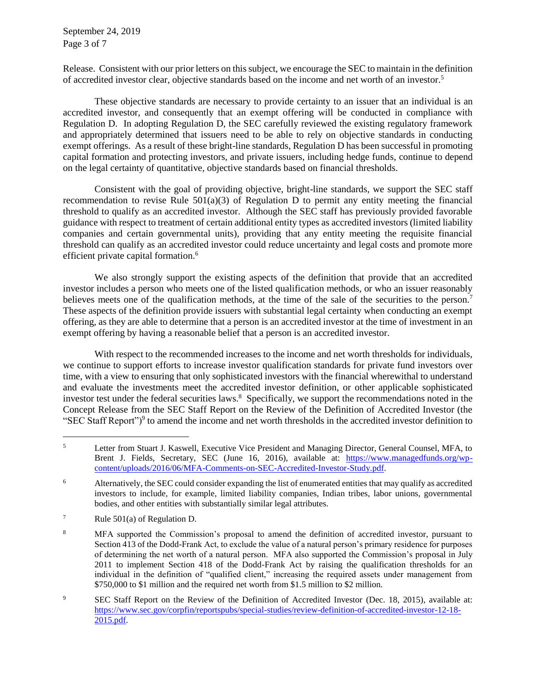September 24, 2019 Page 3 of 7

Release. Consistent with our prior letters on this subject, we encourage the SEC to maintain in the definition of accredited investor clear, objective standards based on the income and net worth of an investor.<sup>5</sup>

These objective standards are necessary to provide certainty to an issuer that an individual is an accredited investor, and consequently that an exempt offering will be conducted in compliance with Regulation D. In adopting Regulation D, the SEC carefully reviewed the existing regulatory framework and appropriately determined that issuers need to be able to rely on objective standards in conducting exempt offerings. As a result of these bright-line standards, Regulation D has been successful in promoting capital formation and protecting investors, and private issuers, including hedge funds, continue to depend on the legal certainty of quantitative, objective standards based on financial thresholds.

Consistent with the goal of providing objective, bright-line standards, we support the SEC staff recommendation to revise Rule  $501(a)(3)$  of Regulation D to permit any entity meeting the financial threshold to qualify as an accredited investor. Although the SEC staff has previously provided favorable guidance with respect to treatment of certain additional entity types as accredited investors (limited liability companies and certain governmental units), providing that any entity meeting the requisite financial threshold can qualify as an accredited investor could reduce uncertainty and legal costs and promote more efficient private capital formation.<sup>6</sup>

We also strongly support the existing aspects of the definition that provide that an accredited investor includes a person who meets one of the listed qualification methods, or who an issuer reasonably believes meets one of the qualification methods, at the time of the sale of the securities to the person.<sup>7</sup> These aspects of the definition provide issuers with substantial legal certainty when conducting an exempt offering, as they are able to determine that a person is an accredited investor at the time of investment in an exempt offering by having a reasonable belief that a person is an accredited investor.

With respect to the recommended increases to the income and net worth thresholds for individuals, we continue to support efforts to increase investor qualification standards for private fund investors over time, with a view to ensuring that only sophisticated investors with the financial wherewithal to understand and evaluate the investments meet the accredited investor definition, or other applicable sophisticated investor test under the federal securities laws.<sup>8</sup> Specifically, we support the recommendations noted in the Concept Release from the SEC Staff Report on the Review of the Definition of Accredited Investor (the "SEC Staff Report" $)$ <sup>9</sup> to amend the income and net worth thresholds in the accredited investor definition to

<sup>7</sup> Rule 501(a) of Regulation D.

- <sup>8</sup> MFA supported the Commission's proposal to amend the definition of accredited investor, pursuant to Section 413 of the Dodd-Frank Act, to exclude the value of a natural person's primary residence for purposes of determining the net worth of a natural person. MFA also supported the Commission's proposal in July 2011 to implement Section 418 of the Dodd-Frank Act by raising the qualification thresholds for an individual in the definition of "qualified client," increasing the required assets under management from \$750,000 to \$1 million and the required net worth from \$1.5 million to \$2 million.
- <sup>9</sup> SEC Staff Report on the Review of the Definition of Accredited Investor (Dec. 18, 2015), available at: [https://www.sec.gov/corpfin/reportspubs/special-studies/review-definition-of-accredited-investor-12-18-](https://www.sec.gov/corpfin/reportspubs/special-studies/review-definition-of-accredited-investor-12-18-2015.pdf) [2015.pdf.](https://www.sec.gov/corpfin/reportspubs/special-studies/review-definition-of-accredited-investor-12-18-2015.pdf)

<sup>5</sup> Letter from Stuart J. Kaswell, Executive Vice President and Managing Director, General Counsel, MFA, to Brent J. Fields, Secretary, SEC (June 16, 2016), available at: [https://www.managedfunds.org/wp](https://www.managedfunds.org/wp-content/uploads/2016/06/MFA-Comments-on-SEC-Accredited-Investor-Study.pdf)[content/uploads/2016/06/MFA-Comments-on-SEC-Accredited-Investor-Study.pdf.](https://www.managedfunds.org/wp-content/uploads/2016/06/MFA-Comments-on-SEC-Accredited-Investor-Study.pdf)

<sup>&</sup>lt;sup>6</sup> Alternatively, the SEC could consider expanding the list of enumerated entities that may qualify as accredited investors to include, for example, limited liability companies, Indian tribes, labor unions, governmental bodies, and other entities with substantially similar legal attributes.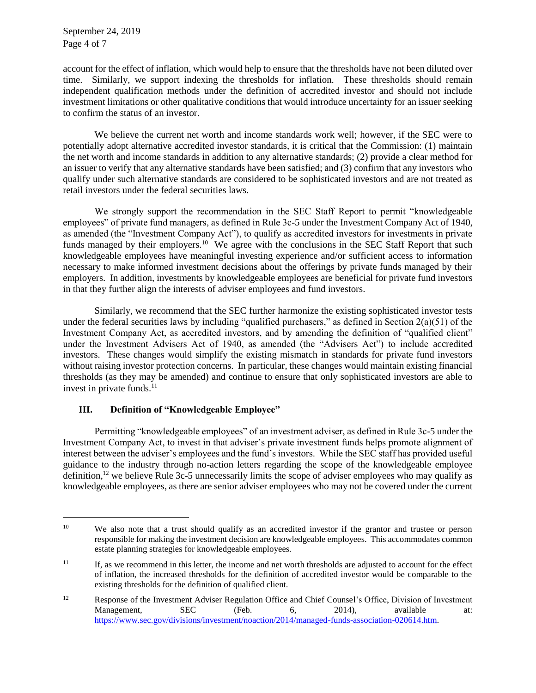September 24, 2019 Page 4 of 7

 $\overline{a}$ 

account for the effect of inflation, which would help to ensure that the thresholds have not been diluted over time. Similarly, we support indexing the thresholds for inflation. These thresholds should remain independent qualification methods under the definition of accredited investor and should not include investment limitations or other qualitative conditions that would introduce uncertainty for an issuer seeking to confirm the status of an investor.

We believe the current net worth and income standards work well; however, if the SEC were to potentially adopt alternative accredited investor standards, it is critical that the Commission: (1) maintain the net worth and income standards in addition to any alternative standards; (2) provide a clear method for an issuer to verify that any alternative standards have been satisfied; and (3) confirm that any investors who qualify under such alternative standards are considered to be sophisticated investors and are not treated as retail investors under the federal securities laws.

We strongly support the recommendation in the SEC Staff Report to permit "knowledgeable employees" of private fund managers, as defined in Rule 3c-5 under the Investment Company Act of 1940, as amended (the "Investment Company Act"), to qualify as accredited investors for investments in private funds managed by their employers.<sup>10</sup> We agree with the conclusions in the SEC Staff Report that such knowledgeable employees have meaningful investing experience and/or sufficient access to information necessary to make informed investment decisions about the offerings by private funds managed by their employers. In addition, investments by knowledgeable employees are beneficial for private fund investors in that they further align the interests of adviser employees and fund investors.

Similarly, we recommend that the SEC further harmonize the existing sophisticated investor tests under the federal securities laws by including "qualified purchasers," as defined in Section 2(a)(51) of the Investment Company Act, as accredited investors, and by amending the definition of "qualified client" under the Investment Advisers Act of 1940, as amended (the "Advisers Act") to include accredited investors. These changes would simplify the existing mismatch in standards for private fund investors without raising investor protection concerns. In particular, these changes would maintain existing financial thresholds (as they may be amended) and continue to ensure that only sophisticated investors are able to invest in private funds. $^{11}$ 

# **III. Definition of "Knowledgeable Employee"**

Permitting "knowledgeable employees" of an investment adviser, as defined in Rule 3c-5 under the Investment Company Act, to invest in that adviser's private investment funds helps promote alignment of interest between the adviser's employees and the fund's investors. While the SEC staff has provided useful guidance to the industry through no-action letters regarding the scope of the knowledgeable employee definition,<sup>12</sup> we believe Rule 3c-5 unnecessarily limits the scope of adviser employees who may qualify as knowledgeable employees, as there are senior adviser employees who may not be covered under the current

<sup>&</sup>lt;sup>10</sup> We also note that a trust should qualify as an accredited investor if the grantor and trustee or person responsible for making the investment decision are knowledgeable employees. This accommodates common estate planning strategies for knowledgeable employees.

<sup>&</sup>lt;sup>11</sup> If, as we recommend in this letter, the income and net worth thresholds are adjusted to account for the effect of inflation, the increased thresholds for the definition of accredited investor would be comparable to the existing thresholds for the definition of qualified client.

<sup>&</sup>lt;sup>12</sup> Response of the Investment Adviser Regulation Office and Chief Counsel's Office, Division of Investment Management, SEC (Feb. 6, 2014), available at: [https://www.sec.gov/divisions/investment/noaction/2014/managed-funds-association-020614.htm.](https://www.sec.gov/divisions/investment/noaction/2014/managed-funds-association-020614.htm)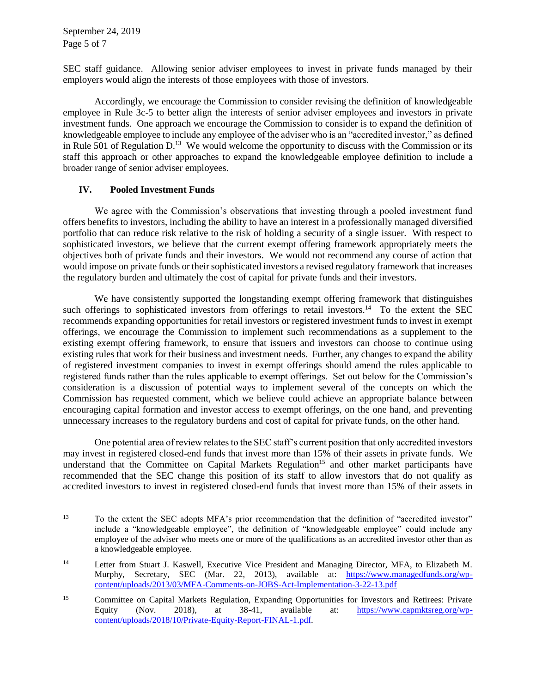September 24, 2019 Page 5 of 7

SEC staff guidance. Allowing senior adviser employees to invest in private funds managed by their employers would align the interests of those employees with those of investors.

Accordingly, we encourage the Commission to consider revising the definition of knowledgeable employee in Rule 3c-5 to better align the interests of senior adviser employees and investors in private investment funds. One approach we encourage the Commission to consider is to expand the definition of knowledgeable employee to include any employee of the adviser who is an "accredited investor," as defined in Rule 501 of Regulation  $D<sup>13</sup>$  We would welcome the opportunity to discuss with the Commission or its staff this approach or other approaches to expand the knowledgeable employee definition to include a broader range of senior adviser employees.

## **IV. Pooled Investment Funds**

We agree with the Commission's observations that investing through a pooled investment fund offers benefits to investors, including the ability to have an interest in a professionally managed diversified portfolio that can reduce risk relative to the risk of holding a security of a single issuer. With respect to sophisticated investors, we believe that the current exempt offering framework appropriately meets the objectives both of private funds and their investors. We would not recommend any course of action that would impose on private funds or their sophisticated investors a revised regulatory framework that increases the regulatory burden and ultimately the cost of capital for private funds and their investors.

We have consistently supported the longstanding exempt offering framework that distinguishes such offerings to sophisticated investors from offerings to retail investors.<sup>14</sup> To the extent the SEC recommends expanding opportunities for retail investors or registered investment funds to invest in exempt offerings, we encourage the Commission to implement such recommendations as a supplement to the existing exempt offering framework, to ensure that issuers and investors can choose to continue using existing rules that work for their business and investment needs. Further, any changes to expand the ability of registered investment companies to invest in exempt offerings should amend the rules applicable to registered funds rather than the rules applicable to exempt offerings. Set out below for the Commission's consideration is a discussion of potential ways to implement several of the concepts on which the Commission has requested comment, which we believe could achieve an appropriate balance between encouraging capital formation and investor access to exempt offerings, on the one hand, and preventing unnecessary increases to the regulatory burdens and cost of capital for private funds, on the other hand.

One potential area of review relates to the SEC staff's current position that only accredited investors may invest in registered closed-end funds that invest more than 15% of their assets in private funds. We understand that the Committee on Capital Markets Regulation<sup>15</sup> and other market participants have recommended that the SEC change this position of its staff to allow investors that do not qualify as accredited investors to invest in registered closed-end funds that invest more than 15% of their assets in

<sup>&</sup>lt;sup>13</sup> To the extent the SEC adopts MFA's prior recommendation that the definition of "accredited investor" include a "knowledgeable employee", the definition of "knowledgeable employee" could include any employee of the adviser who meets one or more of the qualifications as an accredited investor other than as a knowledgeable employee.

<sup>14</sup> Letter from Stuart J. Kaswell, Executive Vice President and Managing Director, MFA, to Elizabeth M. Murphy, Secretary, SEC (Mar. 22, 2013), available at: [https://www.managedfunds.org/wp](https://www.managedfunds.org/wp-content/uploads/2013/03/MFA-Comments-on-JOBS-Act-Implementation-3-22-13.pdf)[content/uploads/2013/03/MFA-Comments-on-JOBS-Act-Implementation-3-22-13.pdf](https://www.managedfunds.org/wp-content/uploads/2013/03/MFA-Comments-on-JOBS-Act-Implementation-3-22-13.pdf)

<sup>&</sup>lt;sup>15</sup> Committee on Capital Markets Regulation, Expanding Opportunities for Investors and Retirees: Private Equity (Nov. 2018), at 38-41, available at: [https://www.capmktsreg.org/wp](https://www.capmktsreg.org/wp-content/uploads/2018/10/Private-Equity-Report-FINAL-1.pdf)[content/uploads/2018/10/Private-Equity-Report-FINAL-1.pdf.](https://www.capmktsreg.org/wp-content/uploads/2018/10/Private-Equity-Report-FINAL-1.pdf)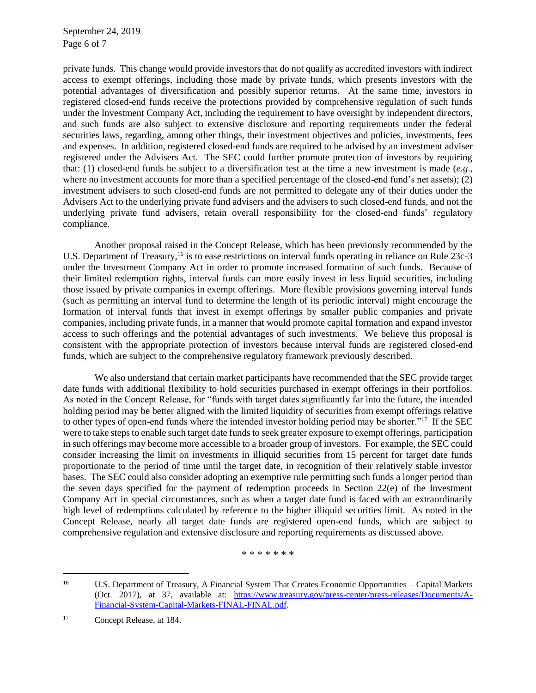September 24, 2019 Page 6 of 7

private funds. This change would provide investors that do not qualify as accredited investors with indirect access to exempt offerings, including those made by private funds, which presents investors with the potential advantages of diversification and possibly superior returns. At the same time, investors in registered closed-end funds receive the protections provided by comprehensive regulation of such funds under the Investment Company Act, including the requirement to have oversight by independent directors, and such funds are also subject to extensive disclosure and reporting requirements under the federal securities laws, regarding, among other things, their investment objectives and policies, investments, fees and expenses. In addition, registered closed-end funds are required to be advised by an investment adviser registered under the Advisers Act. The SEC could further promote protection of investors by requiring that: (1) closed-end funds be subject to a diversification test at the time a new investment is made (*e.g*., where no investment accounts for more than a specified percentage of the closed-end fund's net assets); (2) investment advisers to such closed-end funds are not permitted to delegate any of their duties under the Advisers Act to the underlying private fund advisers and the advisers to such closed-end funds, and not the underlying private fund advisers, retain overall responsibility for the closed-end funds' regulatory compliance.

Another proposal raised in the Concept Release, which has been previously recommended by the U.S. Department of Treasury,<sup>16</sup> is to ease restrictions on interval funds operating in reliance on Rule 23c-3 under the Investment Company Act in order to promote increased formation of such funds. Because of their limited redemption rights, interval funds can more easily invest in less liquid securities, including those issued by private companies in exempt offerings. More flexible provisions governing interval funds (such as permitting an interval fund to determine the length of its periodic interval) might encourage the formation of interval funds that invest in exempt offerings by smaller public companies and private companies, including private funds, in a manner that would promote capital formation and expand investor access to such offerings and the potential advantages of such investments. We believe this proposal is consistent with the appropriate protection of investors because interval funds are registered closed-end funds, which are subject to the comprehensive regulatory framework previously described.

We also understand that certain market participants have recommended that the SEC provide target date funds with additional flexibility to hold securities purchased in exempt offerings in their portfolios. As noted in the Concept Release, for "funds with target dates significantly far into the future, the intended holding period may be better aligned with the limited liquidity of securities from exempt offerings relative to other types of open-end funds where the intended investor holding period may be shorter."<sup>17</sup> If the SEC were to take steps to enable such target date funds to seek greater exposure to exempt offerings, participation in such offerings may become more accessible to a broader group of investors. For example, the SEC could consider increasing the limit on investments in illiquid securities from 15 percent for target date funds proportionate to the period of time until the target date, in recognition of their relatively stable investor bases. The SEC could also consider adopting an exemptive rule permitting such funds a longer period than the seven days specified for the payment of redemption proceeds in Section 22(e) of the Investment Company Act in special circumstances, such as when a target date fund is faced with an extraordinarily high level of redemptions calculated by reference to the higher illiquid securities limit. As noted in the Concept Release, nearly all target date funds are registered open-end funds, which are subject to comprehensive regulation and extensive disclosure and reporting requirements as discussed above.

\* \* \* \* \* \* \*

<sup>16</sup> U.S. Department of Treasury, A Financial System That Creates Economic Opportunities – Capital Markets (Oct. 2017), at 37, available at: [https://www.treasury.gov/press-center/press-releases/Documents/A-](https://www.treasury.gov/press-center/press-releases/Documents/A-Financial-System-Capital-Markets-FINAL-FINAL.pdf)[Financial-System-Capital-Markets-FINAL-FINAL.pdf.](https://www.treasury.gov/press-center/press-releases/Documents/A-Financial-System-Capital-Markets-FINAL-FINAL.pdf)

<sup>17</sup> Concept Release, at 184.